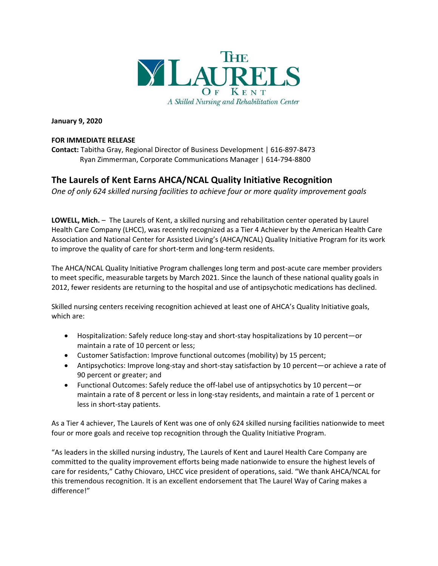

**January 9, 2020**

## **FOR IMMEDIATE RELEASE**

**Contact:** Tabitha Gray, Regional Director of Business Development | 616-897-8473 Ryan Zimmerman, Corporate Communications Manager | 614-794-8800

## **The Laurels of Kent Earns AHCA/NCAL Quality Initiative Recognition**

*One of only 624 skilled nursing facilities to achieve four or more quality improvement goals* 

**LOWELL, Mich.** – The Laurels of Kent, a skilled nursing and rehabilitation center operated by Laurel Health Care Company (LHCC), was recently recognized as a Tier 4 Achiever by the American Health Care Association and National Center for Assisted Living's (AHCA/NCAL) Quality Initiative Program for its work to improve the quality of care for short-term and long-term residents.

The AHCA/NCAL Quality Initiative Program challenges long term and post-acute care member providers to meet specific, measurable targets by March 2021. Since the launch of these national quality goals in 2012, fewer residents are returning to the hospital and use of antipsychotic medications has declined.

Skilled nursing centers receiving recognition achieved at least one of AHCA's Quality Initiative goals, which are:

- Hospitalization: Safely reduce long-stay and short-stay hospitalizations by 10 percent—or maintain a rate of 10 percent or less;
- Customer Satisfaction: Improve functional outcomes (mobility) by 15 percent;
- Antipsychotics: Improve long-stay and short-stay satisfaction by 10 percent—or achieve a rate of 90 percent or greater; and
- Functional Outcomes: Safely reduce the off-label use of antipsychotics by 10 percent—or maintain a rate of 8 percent or less in long-stay residents, and maintain a rate of 1 percent or less in short-stay patients.

As a Tier 4 achiever, The Laurels of Kent was one of only 624 skilled nursing facilities nationwide to meet four or more goals and receive top recognition through the Quality Initiative Program.

"As leaders in the skilled nursing industry, The Laurels of Kent and Laurel Health Care Company are committed to the quality improvement efforts being made nationwide to ensure the highest levels of care for residents," Cathy Chiovaro, LHCC vice president of operations, said. "We thank AHCA/NCAL for this tremendous recognition. It is an excellent endorsement that The Laurel Way of Caring makes a difference!"